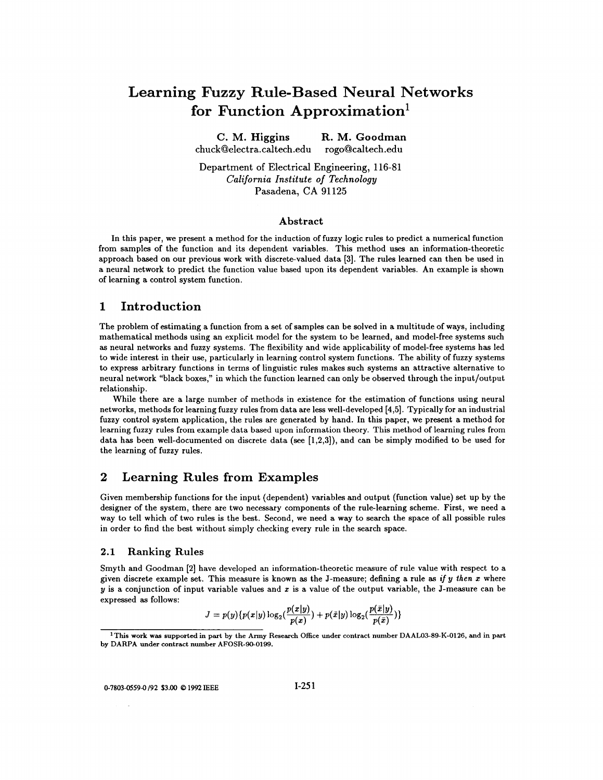# **Learning Fuzzy Rule-Based Neural Networks for Function Approximation**<sup>1</sup>

**C. M. Higgins R. M. Goodman**  chuck@electra.caltech.edu rogo@caltech.edu

Department of Electrical Engineering, 116-81 *California Institute of Technology*  Pasadena, CA 91125

#### Abstract

In this paper, we present a method for the induction of fuzzy logic rules to predict a numerical function from samples of the function and its dependent variables. This method uses an information-theoretic approach based on our previous work with discrete-valued data [3]. The rules learned can then be used in a neural network to predict the function value based upon its dependent variables. An example is shown of learning a control system function.

### 1 Introduction

The problem of estimating a function from a set of samples can be solved in a multitude of ways, including mathematical methods using an explicit model for the system to be learned, and model-free systems such as neural networks and fuzzy systems. The flexibility and wide applicability of model-free systems has led to wide interest in their use, particularly in learning control system functions. The ability of fuzzy systems to express arbitrary functions in terms of linguistic rules makes such systems an attractive alternative to neural network "black boxes," in which the function learned can only be observed through the input/output relationship.

While there are a large number of methods in existence for the estimation of functions using neural networks, methods for learning fuzzy rules from data are less well-developed [4,5]. Typically for an industrial fuzzy control system application, the rules are generated by hand. In this paper, we present a method for learning fuzzy rules from example data based upon information theory. This method of learning rules from data has been well-documented on discrete data (see [1,2,3]), and can be simply modified to be used for the learning of fuzzy rules.

# 2 Learning Rules from Examples

Given membership functions for the input ( dependent) variables and output (function value) set up by the designer of the system, there are two necessary components of the rule-learning scheme. First, we need a way to tell which of two rules is the best. Second, we need a way to search the space of all possible rules in order to find the best without simply checking every rule in the search space.

### 2.1 Ranking Rules

Smyth and Goodman [2] have developed an information-theoretic measure of rule value with respect to a given discrete example set. This measure is known as the J-measure; defining a rule as *if* y *then x* where y is a conjunction of input variable values and  $x$  is a value of the output variable, the J-measure can be expressed as follows:

$$
J = p(y) \{p(x|y) \log_2(\frac{p(x|y)}{p(x)}) + p(\bar{x}|y) \log_2(\frac{p(\bar{x}|y)}{p(\bar{x})})\}
$$

0-7803-0559-0 /92 \$3.00 © 1992 IEEE 1-251

<sup>1</sup>This **work was** supported in part by the Army Research Office under contract number DAAL03-89-K-0126, and in part by DARPA under contract number AFOSR-90-0199.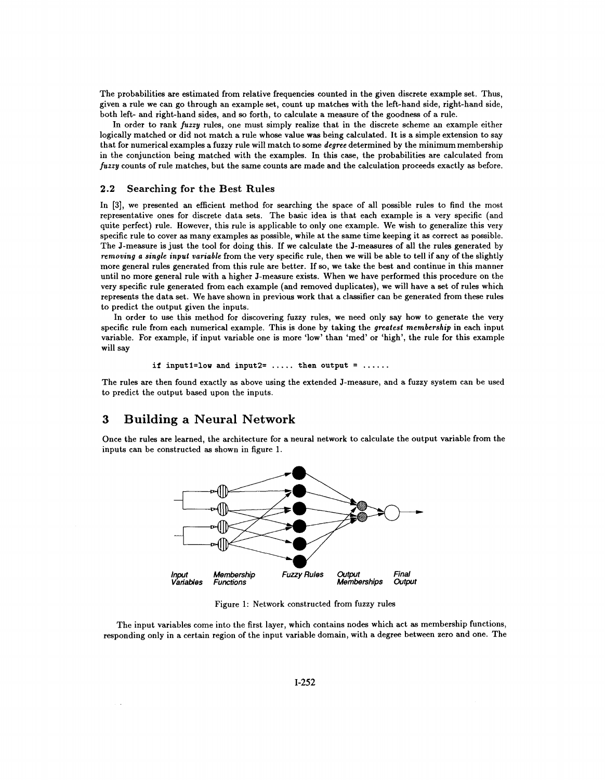The probabilities are estimated from relative frequencies counted in the given discrete example set. Thus, given a rule we can go through an example set, count up matches with the left-hand side, right-hand side, both left- and right-hand sides, and so forth, to calculate a measure of the goodness of a rule.

In order to rank *fuzzy* rules, one must simply realize that in the discrete scheme an example either logically matched or did not match a rule whose value was being calculated. It is a simple extension to say that for numerical examples a fuzzy rule will match to some *degree* determined by the minimum membership in the conjunction being matched with the examples. In this case, the probabilities are calculated from *fuzzy* counts of rule matches, but the same counts are made and the calculation proceeds exactly as before.

#### 2.2 Searching for the Best Rules

In [3], we presented an efficient method for searching the space of all possible rules to find the most representative ones for discrete data sets. The basic idea is that each example is a very specific ( and quite perfect) rule. However, this rule is applicable to only one example. We wish to generalize this very specific rule to cover as many examples as possible, while at the same time keeping it as correct as possible. The J-measure is just the tool for doing this. If we calculate the J-measures of all the rules generated by *removing a single input variable* from the very specific rule, then we will be able to tell if any of the slightly more general rules generated from this rule are better. If so, we take the best and continue in this manner until no more general rule with a higher J-measure exists. When we have performed this procedure on the very specific rule generated from each example (and removed duplicates), we will have a set of rules which represents the data set. We have shown in previous work that a classifier can be generated from these rules to predict the output given the inputs.

In order to use this method for discovering fuzzy rules, we need only say how to generate the very specific rule from each numerical example. This is done by taking the *greatest membership* in each input variable. For example, if input variable one is more 'low' than 'med' or 'high', the rule for this example will say

```
if input1=low and input2= ..... then output = \dots.
```
The rules are then found exactly as above using the extended J-measure, and a fuzzy system can be used to predict the output based upon the inputs.

### **3 Building a Neural Network**

Once the rules are learned, the architecture for a neural network to calculate the output variable from the inputs can be constructed as shown in figure 1.



Figure 1: Network constructed from fuzzy rules

The input variables come into the first layer, which contains nodes which act as membership functions, responding only in a certain region of the input variable domain, with a degree between zero and one. The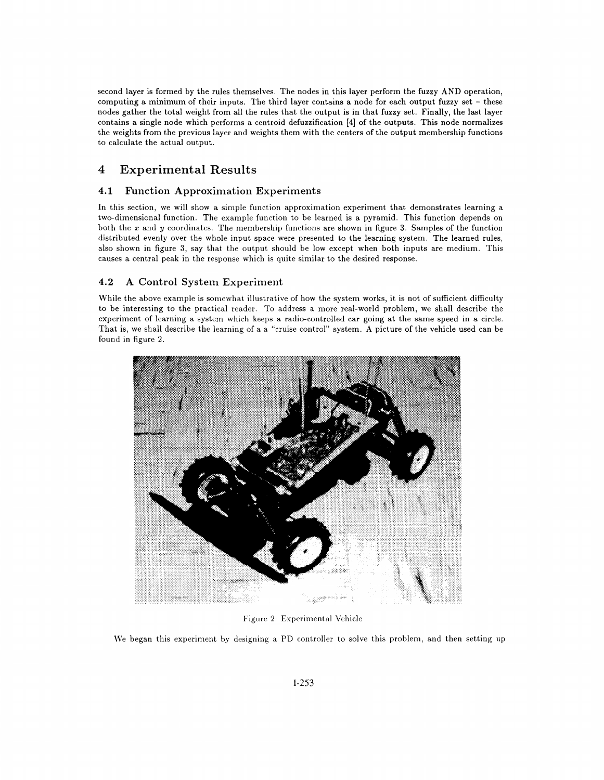second layer is formed by the rules themselves. The nodes in this layer perform the fuzzy AND operation, computing a minimum of their inputs. The third layer contains a node for each output fuzzy set - these nodes gather the total weight from all the rules that the output is in that fuzzy set. Finally, the last layer contains a single node which performs a centroid defuzzification [4] of the outputs. This node normalizes the weights from the previous layer and weights them with the centers of the output membership functions to calculate the actual output.

## **4 Experimental Results**

### **4.1** Function Approximation Experiments

In this section, we will show a simple function approximation experiment that demonstrates learning a two-dimensional function. The example function to be learned is a pyramid. This function depends on both the *x* and y coordinates. The membership functions are shown in figure 3. Samples of the function distributed evenly over the whole input space were presented to the learning system. The learned rules, also shown in figure 3, say that the output should be low except when both inputs are medium. This causes a central peak in the response which is quite similar to the desired response.

### **4.2 A** Control System Experiment

While the above example is somewhat illustrative of how the system works, it is not of sufficient difficulty to be interesting to the practical reader. To address a more real-world problem, we shall describe the experiment of learning a system which keeps a radio-controlled car going at the same speed in a circle. That is, we shall describe the learning of a a "cruise control" system. A picture of the vehicle used can be found in figure 2.



Figure 2: Experimental Vehicle

We began this experiment by designing a PD controller to solve this problem, and then setting up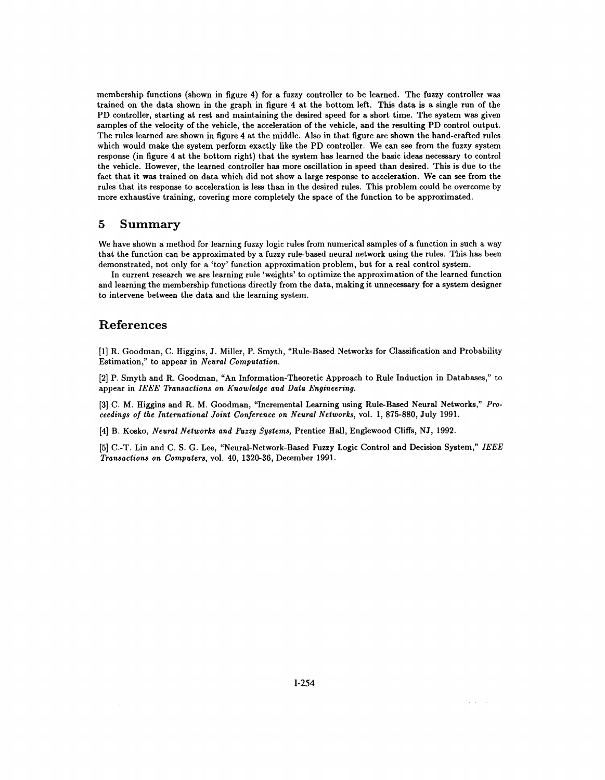membership functions (shown in figure 4) for a fuzzy controller to be learned. The fuzzy controller was trained on the data shown in the graph in figure 4 at the bottom left. This data is a single run of the PD controller, starting at rest and maintaining the desired speed for a short time. The system was given samples of the velocity of the vehicle, the acceleration of the vehicle, and the resulting PD control output. The rules learned are shown in figure 4 at the middle. Also in that figure are shown the hand-crafted rules which would make the system perform exactly like the PD controller. We can see from the fuzzy system response (in figure 4 at the bottom right) that the system has learned the basic ideas necessary to control the vehicle. However, the learned controller has more oscillation in speed than desired. This is due to the fact that it was trained on data which did not show a large response to acceleration. We can see from the rules that its response to acceleration is less than in the desired rules. This problem could be overcome by more exhaustive training, covering more completely the space of the function to be approximated.

### **5 Summary**

We have shown a method for learning fuzzy logic rules from numerical samples of a function in such a way that the function can be approximated by a fuzzy rule-based neural network using the rules. This has been demonstrated, not only for a 'toy' function approximation problem, but for a real control system.

In current research we are learning rule 'weights' to optimize the approximation of the learned function and learning the membership functions directly from the data, making it unnecessary for a system designer to intervene between the data and the learning system.

# **References**

[1) R. Goodman, C. Higgins, J. Miller, P. Smyth, "Rule-Based Networks for Classification and Probability Estimation," to appear in *Neural Computation.* 

[2) P. Smyth and R. Goodman, "An Information-Theoretic Approach to Rule Induction in Databases," to appear in *IEEE Transactions on Knowledge and Data Engineering.* 

[3] C. M. Higgins and R. M. Goodman, "Incremental Learning using Rule-Based Neural Networks," *Proceedings of the International Joint Conference on Neural Networks,* vol. 1, 875-880, July 1991.

(4] B. Kosko, *Neural Networks and Fuzzy Systems,* Prentice Hall, Englewood Cliffs, NJ, 1992.

[5] C.-T. Lin and C. S. G. Lee, "Neural-Network-Based Fuzzy Logic Control and Decision System," *IEEE Transactions on Computers,* vol. 40, 1320-36, December 1991.

 $\omega$  ,  $\omega$  ,  $\omega$  ,  $\omega$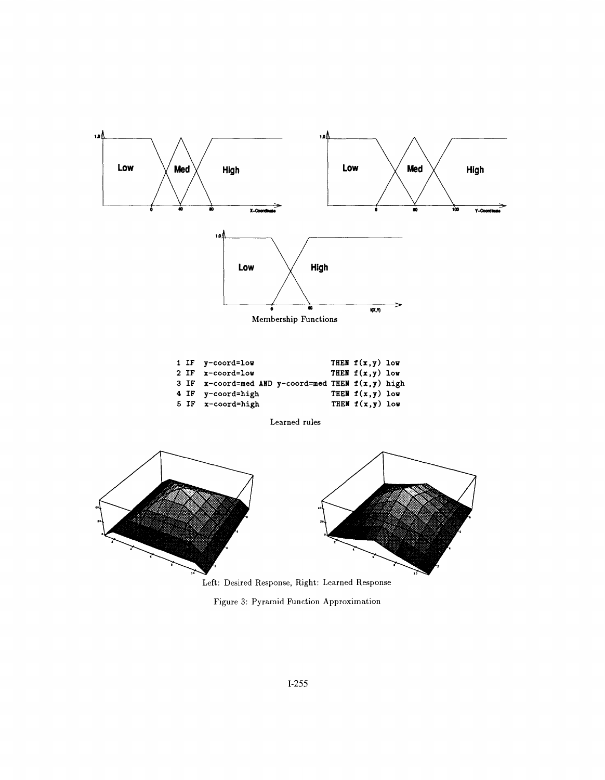

Left: Desired Response, Right: Learned Response

Figure 3: Pyramid Function Approximation